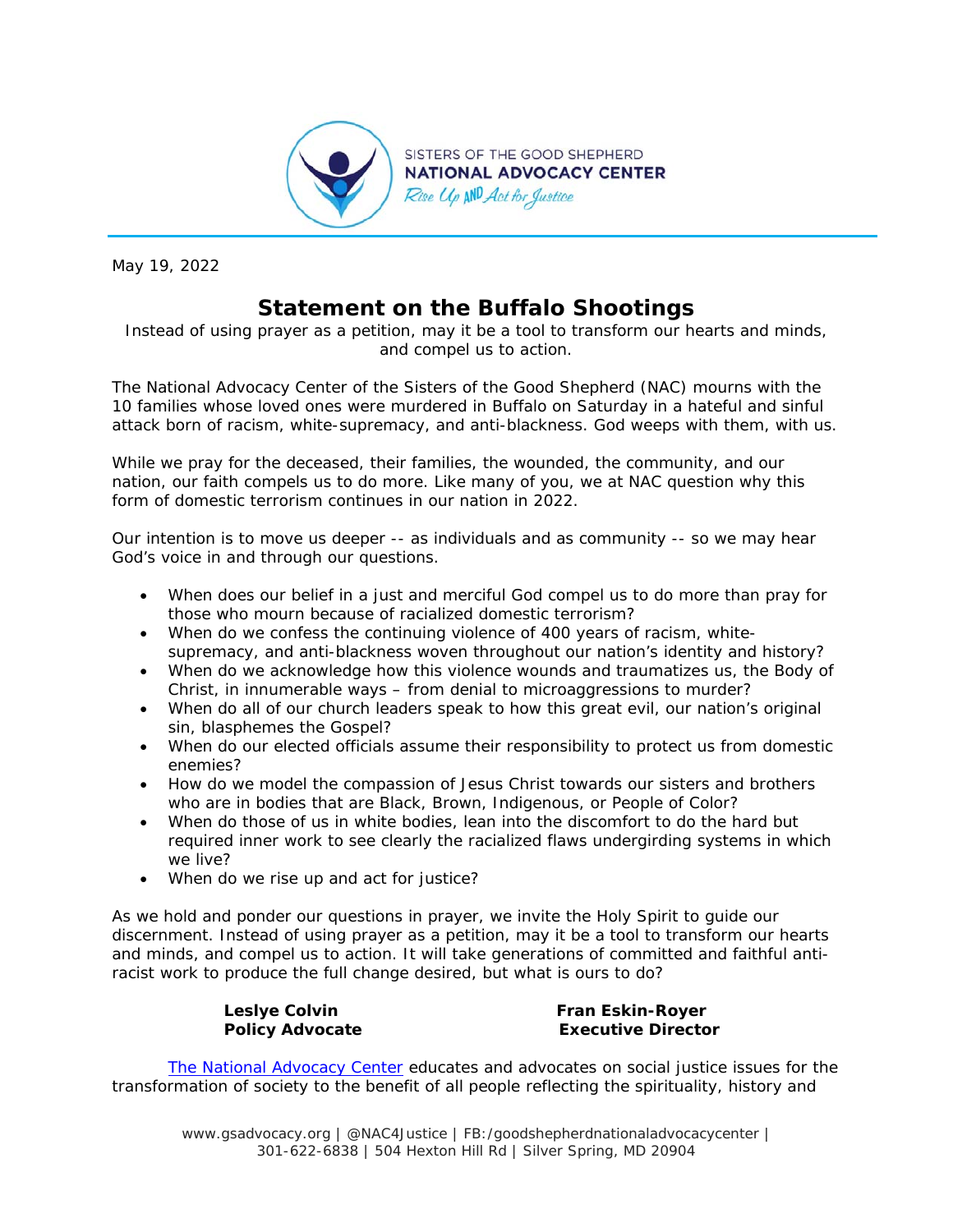

May 19, 2022

## **Statement on the Buffalo Shootings**

*Instead of using prayer as a petition, may it be a tool to transform our hearts and minds, and compel us to action.* 

The National Advocacy Center of the Sisters of the Good Shepherd (NAC) mourns with the 10 families whose loved ones were murdered in Buffalo on Saturday in a hateful and sinful attack born of racism, white-supremacy, and anti-blackness. God weeps with them, with us.

While we pray for the deceased, their families, the wounded, the community, and our nation, our faith compels us to do more. Like many of you, we at NAC question why this form of domestic terrorism continues in our nation in 2022.

Our intention is to move us deeper -- as individuals and as community -- so we may hear God's voice in and through our questions.

- When does our belief in a just and merciful God compel us to do more than pray for those who mourn because of racialized domestic terrorism?
- When do we confess the continuing violence of 400 years of racism, whitesupremacy, and anti-blackness woven throughout our nation's identity and history?
- When do we acknowledge how this violence wounds and traumatizes us, the Body of Christ, in innumerable ways – from denial to microaggressions to murder?
- When do all of our church leaders speak to how this great evil, our nation's original sin, blasphemes the Gospel?
- When do our elected officials assume their responsibility to protect us from domestic enemies?
- How do we model the compassion of Jesus Christ towards our sisters and brothers who are in bodies that are Black, Brown, Indigenous, or People of Color?
- When do those of us in white bodies, lean into the discomfort to do the hard but required inner work to see clearly the racialized flaws undergirding systems in which we live?
- When do we rise up and act for justice?

As we hold and ponder our questions in prayer, we invite the Holy Spirit to guide our discernment. Instead of using prayer as a petition, may it be a tool to transform our hearts and minds, and compel us to action. It will take generations of committed and faithful antiracist work to produce the full change desired, but what is ours to do?

Leslye Colvin **Fran Eskin-Royer Policy Advocate Executive Director** 

*The National Advocacy Center educates and advocates on social justice issues for the transformation of society to the benefit of all people reflecting the spirituality, history and* 

www.gsadvocacy.org | @NAC4Justice | FB:/goodshepherdnationaladvocacycenter | 301-622-6838 | 504 Hexton Hill Rd | Silver Spring, MD 20904